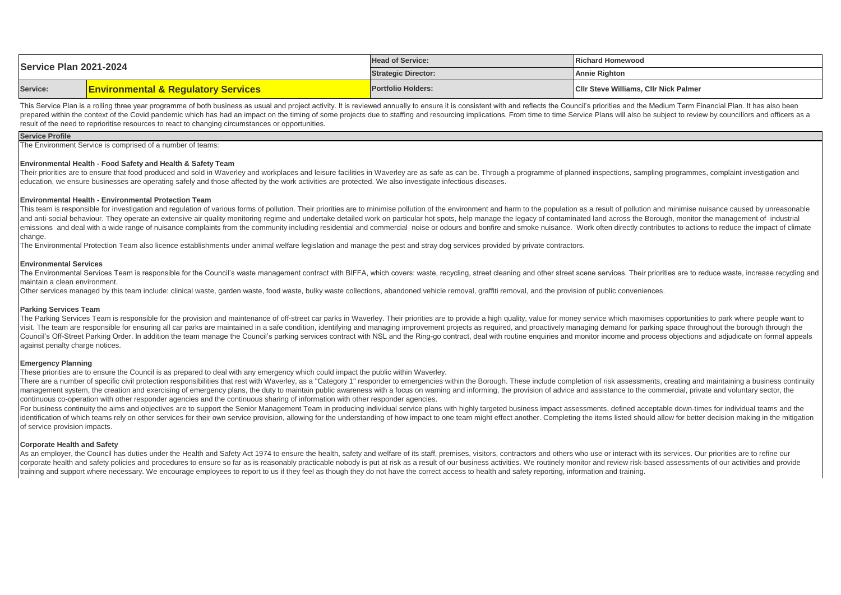| Service Plan 2021-2024 |                                                | <b>Head of Service:</b>    | <b>IRichard Homewood</b>                     |
|------------------------|------------------------------------------------|----------------------------|----------------------------------------------|
|                        |                                                | <b>Strategic Director:</b> | <b>Annie Righton</b>                         |
| Service:               | <b>Environmental &amp; Regulatory Services</b> | <b>Portfolio Holders:</b>  | <b>CIIr Steve Williams, CIIr Nick Palmer</b> |

This Service Plan is a rolling three year programme of both business as usual and project activity. It is reviewed annually to ensure it is consistent with and reflects the Council's priorities and the Medium Term Financia prepared within the context of the Covid pandemic which has had an impact on the timing of some projects due to staffing and resourcing implications. From time to time Service Plans will also be subject to review by counci result of the need to reprioritise resources to react to changing circumstances or opportunities.

### **Service Profile**

The Environment Service is comprised of a number of teams:

### **Environmental Health - Food Safety and Health & Safety Team**

Their priorities are to ensure that food produced and sold in Waverley and workplaces and leisure facilities in Waverley are as safe as can be. Through a programme of planned inspections, sampling programmes, complaint inv education, we ensure businesses are operating safely and those affected by the work activities are protected. We also investigate infectious diseases.

### **Environmental Health - Environmental Protection Team**

This team is responsible for investigation and regulation of various forms of pollution. Their priorities are to minimise pollution of the environment and harm to the population as a result of pollution and minimise nuisan and anti-social behaviour. They operate an extensive air quality monitoring regime and undertake detailed work on particular hot spots, help manage the legacy of contaminated land across the Borough, monitor the management emissions and deal with a wide range of nuisance complaints from the community including residential and commercial noise or odours and bonfire and smoke nuisance. Work often directly contributes to actions to reduce the i change.

The Environmental Protection Team also licence establishments under animal welfare legislation and manage the pest and stray dog services provided by private contractors.

#### **Environmental Services**

The Environmental Services Team is responsible for the Council's waste management contract with BIFFA, which covers: waste, recycling, street cleaning and other street scene services. Their priorities are to reduce waste, maintain a clean environment.

Other services managed by this team include: clinical waste, garden waste, food waste, bulky waste collections, abandoned vehicle removal, graffiti removal, and the provision of public conveniences.

### **Parking Services Team**

The Parking Services Team is responsible for the provision and maintenance of off-street car parks in Waverley. Their priorities are to provide a high quality, value for money service which maximises opportunities to park visit. The team are responsible for ensuring all car parks are maintained in a safe condition identifying and managing improvement projects as required, and proactively managing demand for parking space throughout the boro Council's Off-Street Parking Order. In addition the team manage the Council's parking services contract with NSL and the Ring-go contract, deal with routine enguiries and monitor income and process objections and adjudicat against penalty charge notices.

### **Emergency Planning**

These priorities are to ensure the Council is as prepared to deal with any emergency which could impact the public within Waverley.

There are a number of specific civil protection responsibilities that rest with Waverley, as a "Category 1" responder to emergencies within the Borough. These include completion of risk assessments, creating and maintainin management system, the creation and exercising of emergency plans, the duty to maintain public awareness with a focus on warning and informing, the provision of advice and assistance to the commercial, private and voluntar continuous co-operation with other responder agencies and the continuous sharing of information with other responder agencies.

For business continuity the aims and objectives are to support the Senior Management Team in producing individual service plans with highly targeted business impact assessments, defined acceptable down-times for individual identification of which teams rely on other services for their own service provision, allowing for the understanding of how impact to one team might effect another. Completing the items listed should allow for better decis of service provision impacts.

### **Corporate Health and Safety**

As an employer, the Council has duties under the Health and Safety Act 1974 to ensure the health, safety and welfare of its staff, premises, visitors, contractors and others who use or interact with its services. Our prior corporate health and safety policies and procedures to ensure so far as is reasonably practicable nobody is put at risk as a result of our business activities. We routinely monitor and review risk-based assessments of our training and support where necessary. We encourage employees to report to us if they feel as though they do not have the correct access to health and safety reporting, information and training.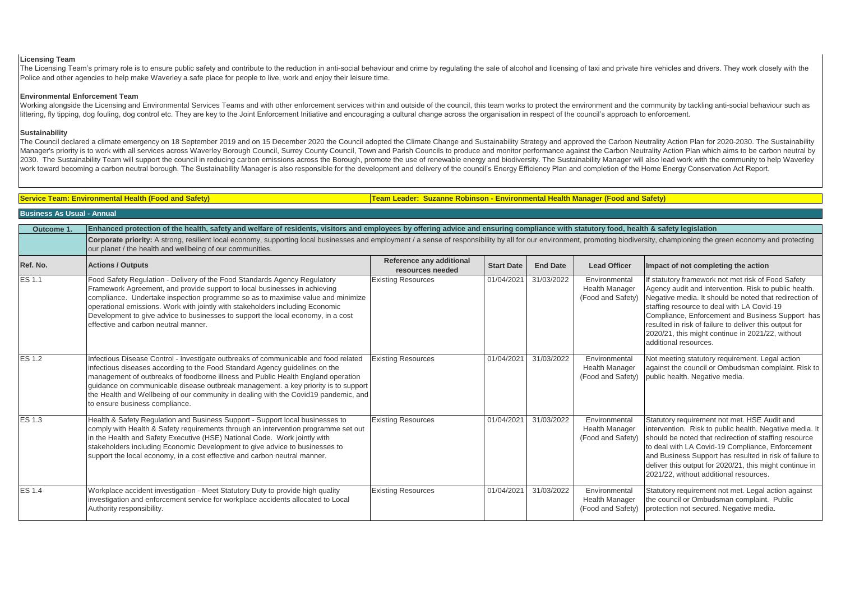# **Licensing Team**

The Licensing Team's primary role is to ensure public safety and contribute to the reduction in anti-social behaviour and crime by regulating the sale of alcohol and licensing of taxi and private hire vehicles and drivers. Police and other agencies to help make Waverley a safe place for people to live, work and enjoy their leisure time.

## **Environmental Enforcement Team**

Working alongside the Licensing and Environmental Services Teams and with other enforcement services within and outside of the council, this team works to protect the environment and the community by tackling anti-social b littering, fly tipping, dog fouling, dog control etc. They are key to the Joint Enforcement Initiative and encouraging a cultural change across the organisation in respect of the council's approach to enforcement.

## **Sustainability**

The Council declared a climate emergency on 18 September 2019 and on 15 December 2020 the Council adopted the Climate Change and Sustainability Strategy and approved the Carbon Neutrality Action Plan for 2020-2030. The Sus Manager's priority is to work with all services across Waverley Borough Council, Surrey County Council, Town and Parish Councils to produce and monitor performance against the Carbon Neutrality Action Plan which aims to be 2030. The Sustainability Team will support the council in reducing carbon emissions across the Borough, promote the use of renewable energy and biodiversity. The Sustainability Manager will also lead work with the communit work toward becoming a carbon neutral borough. The Sustainability Manager is also responsible for the development and delivery of the council's Energy Efficiency Plan and completion of the Home Energy Conservation Act Repo

**Service Team: Environmental Health (Food and Safety) Team Leader: Suzanne Robinson - Environmental Health Manager (Food and Safety)**

# **Business As Usual - Annual**

**Outcome 1. Enhanced protection of the health, safety and welfare of residents, visitors and employees by offering advice and ensuring compliance with statutory food, health & safety legislation**

Corporate priority: A strong, resilient local economy, supporting local businesses and employment / a sense of responsibility by all for our environment, promoting biodiversity, championing the green economy and protecting our planet / the health and wellbeing of our communities.

| Ref. No.      | <b>Actions / Outputs</b>                                                                                                                                                                                                                                                                                                                                                                                                                                              | Reference any additional<br>resources needed | <b>Start Date</b> | <b>End Date</b> | <b>Lead Officer</b>                                         | Impact of not completing the action                                                                                                                                                                                                                                                                                                                                                                            |
|---------------|-----------------------------------------------------------------------------------------------------------------------------------------------------------------------------------------------------------------------------------------------------------------------------------------------------------------------------------------------------------------------------------------------------------------------------------------------------------------------|----------------------------------------------|-------------------|-----------------|-------------------------------------------------------------|----------------------------------------------------------------------------------------------------------------------------------------------------------------------------------------------------------------------------------------------------------------------------------------------------------------------------------------------------------------------------------------------------------------|
| ES 1.1        | Food Safety Regulation - Delivery of the Food Standards Agency Regulatory<br>Framework Agreement, and provide support to local businesses in achieving<br>compliance. Undertake inspection programme so as to maximise value and minimize<br>operational emissions. Work with jointly with stakeholders including Economic<br>Development to give advice to businesses to support the local economy, in a cost<br>effective and carbon neutral manner.                | <b>Existing Resources</b>                    | 01/04/2021        | 31/03/2022      | Environmental<br><b>Health Manager</b><br>(Food and Safety) | If statutory framework not met risk of Food Safety<br>Agency audit and intervention. Risk to public health.<br>Negative media. It should be noted that redirection of<br>staffing resource to deal with LA Covid-19<br>Compliance, Enforcement and Business Support has<br>resulted in risk of failure to deliver this output for<br>2020/21, this might continue in 2021/22, without<br>additional resources. |
| <b>ES 1.2</b> | Infectious Disease Control - Investigate outbreaks of communicable and food related<br>infectious diseases according to the Food Standard Agency guidelines on the<br>management of outbreaks of foodborne illness and Public Health England operation<br>guidance on communicable disease outbreak management. a key priority is to support<br>the Health and Wellbeing of our community in dealing with the Covid19 pandemic, and<br>to ensure business compliance. | <b>Existing Resources</b>                    | 01/04/2021        | 31/03/2022      | Environmental<br><b>Health Manager</b><br>(Food and Safety) | Not meeting statutory requirement. Legal action<br>against the council or Ombudsman complaint. Risk to<br>public health. Negative media.                                                                                                                                                                                                                                                                       |
| ES 1.3        | Health & Safety Regulation and Business Support - Support local businesses to<br>comply with Health & Safety requirements through an intervention programme set out<br>in the Health and Safety Executive (HSE) National Code. Work jointly with<br>stakeholders including Economic Development to give advice to businesses to<br>support the local economy, in a cost effective and carbon neutral manner.                                                          | <b>Existing Resources</b>                    | 01/04/2021        | 31/03/2022      | Environmental<br><b>Health Manager</b><br>(Food and Safety) | Statutory requirement not met. HSE Audit and<br>intervention. Risk to public health. Negative media. It<br>should be noted that redirection of staffing resource<br>to deal with LA Covid-19 Compliance, Enforcement<br>and Business Support has resulted in risk of failure to<br>deliver this output for 2020/21, this might continue in<br>2021/22, without additional resources.                           |
| <b>ES 1.4</b> | Workplace accident investigation - Meet Statutory Duty to provide high quality<br>investigation and enforcement service for workplace accidents allocated to Local<br>Authority responsibility.                                                                                                                                                                                                                                                                       | <b>Existing Resources</b>                    | 01/04/2021        | 31/03/2022      | Environmental<br><b>Health Manager</b><br>(Food and Safety) | Statutory requirement not met. Legal action against<br>the council or Ombudsman complaint. Public<br>protection not secured. Negative media.                                                                                                                                                                                                                                                                   |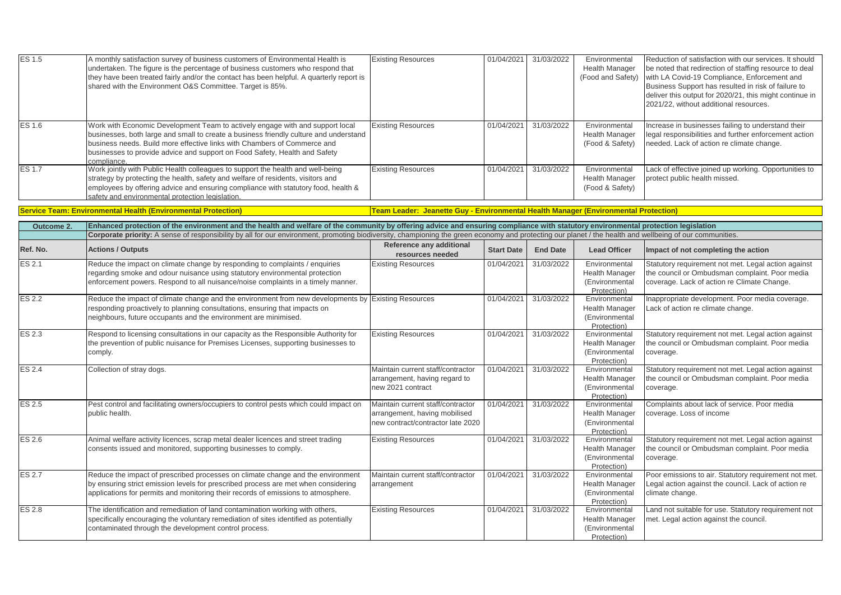| ES 1.5        | A monthly satisfaction survey of business customers of Environmental Health is<br>undertaken. The figure is the percentage of business customers who respond that<br>they have been treated fairly and/or the contact has been helpful. A quarterly report is<br>shared with the Environment O&S Committee. Target is 85%.                      | <b>Existing Resources</b>                                                                               | 01/04/2021        | 31/03/2022      | Environmental<br><b>Health Manager</b><br>(Food and Safety)             | Reduction of satisfaction with our services. It should<br>be noted that redirection of staffing resource to deal<br>with LA Covid-19 Compliance, Enforcement and<br>Business Support has resulted in risk of failure to<br>deliver this output for 2020/21, this might continue in<br>2021/22, without additional resources. |
|---------------|-------------------------------------------------------------------------------------------------------------------------------------------------------------------------------------------------------------------------------------------------------------------------------------------------------------------------------------------------|---------------------------------------------------------------------------------------------------------|-------------------|-----------------|-------------------------------------------------------------------------|------------------------------------------------------------------------------------------------------------------------------------------------------------------------------------------------------------------------------------------------------------------------------------------------------------------------------|
| ES 1.6        | Work with Economic Development Team to actively engage with and support local<br>businesses, both large and small to create a business friendly culture and understand<br>business needs. Build more effective links with Chambers of Commerce and<br>businesses to provide advice and support on Food Safety, Health and Safety<br>compliance. | <b>Existing Resources</b>                                                                               | 01/04/2021        | 31/03/2022      | Environmental<br><b>Health Manager</b><br>(Food & Safety)               | Increase in businesses failing to understand their<br>egal responsibilities and further enforcement action<br>needed. Lack of action re climate change.                                                                                                                                                                      |
| ES 1.7        | Work jointly with Public Health colleagues to support the health and well-being<br>strategy by protecting the health, safety and welfare of residents, visitors and<br>employees by offering advice and ensuring compliance with statutory food, health &<br>safety and environmental protection legislation.                                   | <b>Existing Resources</b>                                                                               | 01/04/2021        | 31/03/2022      | Environmental<br><b>Health Manager</b><br>(Food & Safety)               | Lack of effective joined up working. Opportunities to<br>protect public health missed.                                                                                                                                                                                                                                       |
|               | <b>Service Team: Environmental Health (Environmental Protection)</b>                                                                                                                                                                                                                                                                            | Team Leader: Jeanette Guy - Environmental Health Manager (Environmental Protection)                     |                   |                 |                                                                         |                                                                                                                                                                                                                                                                                                                              |
| Outcome 2.    | Enhanced protection of the environment and the health and welfare of the community by offering advice and ensuring compliance with statutory environmental protection legislation                                                                                                                                                               |                                                                                                         |                   |                 |                                                                         |                                                                                                                                                                                                                                                                                                                              |
|               | Corporate priority: A sense of responsibility by all for our environment, promoting biodiversity, championing the green economy and protecting our planet / the health and wellbeing of our communities.                                                                                                                                        |                                                                                                         |                   |                 |                                                                         |                                                                                                                                                                                                                                                                                                                              |
| Ref. No.      | <b>Actions / Outputs</b>                                                                                                                                                                                                                                                                                                                        | Reference any additional<br>resources needed                                                            | <b>Start Date</b> | <b>End Date</b> | <b>Lead Officer</b>                                                     | Impact of not completing the action                                                                                                                                                                                                                                                                                          |
| ES 2.1        | Reduce the impact on climate change by responding to complaints / enquiries<br>regarding smoke and odour nuisance using statutory environmental protection<br>enforcement powers. Respond to all nuisance/noise complaints in a timely manner.                                                                                                  | <b>Existing Resources</b>                                                                               | 01/04/2021        | 31/03/2022      | Environmental<br><b>Health Manager</b><br>(Environmental<br>Protection) | Statutory requirement not met. Legal action against<br>the council or Ombudsman complaint. Poor media<br>coverage. Lack of action re Climate Change.                                                                                                                                                                         |
| <b>ES 2.2</b> | Reduce the impact of climate change and the environment from new developments by Existing Resources<br>responding proactively to planning consultations, ensuring that impacts on<br>neighbours, future occupants and the environment are minimised.                                                                                            |                                                                                                         | 01/04/2021        | 31/03/2022      | Environmental<br><b>Health Manager</b><br>(Environmental<br>Protection) | Inappropriate development. Poor media coverage.<br>ack of action re climate change.                                                                                                                                                                                                                                          |
| ES 2.3        | Respond to licensing consultations in our capacity as the Responsible Authority for<br>the prevention of public nuisance for Premises Licenses, supporting businesses to<br>comply.                                                                                                                                                             | <b>Existing Resources</b>                                                                               | 01/04/2021        | 31/03/2022      | Environmental<br>Health Manager<br>(Environmental<br>Protection)        | Statutory requirement not met. Legal action against<br>the council or Ombudsman complaint. Poor media<br>coverage.                                                                                                                                                                                                           |
| ES 2.4        | Collection of stray dogs.                                                                                                                                                                                                                                                                                                                       | Maintain current staff/contractor<br>arrangement, having regard to<br>new 2021 contract                 | 01/04/2021        | 31/03/2022      | Environmental<br><b>Health Manager</b><br>(Environmental<br>Protection) | Statutory requirement not met. Legal action against<br>the council or Ombudsman complaint. Poor media<br>coverage.                                                                                                                                                                                                           |
| ES 2.5        | Pest control and facilitating owners/occupiers to control pests which could impact on<br>public health.                                                                                                                                                                                                                                         | Maintain current staff/contractor<br>arrangement, having mobilised<br>new contract/contractor late 2020 | 01/04/2021        | 31/03/2022      | Environmental<br><b>Health Manager</b><br>(Environmental<br>Protection) | Complaints about lack of service. Poor media<br>coverage. Loss of income                                                                                                                                                                                                                                                     |
| ES 2.6        | Animal welfare activity licences, scrap metal dealer licences and street trading<br>consents issued and monitored, supporting businesses to comply.                                                                                                                                                                                             | <b>Existing Resources</b>                                                                               | 01/04/2021        | 31/03/2022      | Environmental<br><b>Health Manager</b><br>(Environmental<br>Protection) | Statutory requirement not met. Legal action against<br>the council or Ombudsman complaint. Poor media<br>coverage.                                                                                                                                                                                                           |
| ES 2.7        | Reduce the impact of prescribed processes on climate change and the environment<br>by ensuring strict emission levels for prescribed process are met when considering<br>applications for permits and monitoring their records of emissions to atmosphere.                                                                                      | Maintain current staff/contractor<br>arrangement                                                        | 01/04/2021        | 31/03/2022      | Environmental<br><b>Health Manager</b><br>(Environmental<br>Protection) | Poor emissions to air. Statutory requirement not met.<br>Legal action against the council. Lack of action re<br>climate change.                                                                                                                                                                                              |
| ES 2.8        | The identification and remediation of land contamination working with others,<br>specifically encouraging the voluntary remediation of sites identified as potentially<br>contaminated through the development control process.                                                                                                                 | <b>Existing Resources</b>                                                                               | 01/04/2021        | 31/03/2022      | Environmental<br>Health Manager<br>(Environmental<br>Protection)        | Land not suitable for use. Statutory requirement not<br>met. Legal action against the council.                                                                                                                                                                                                                               |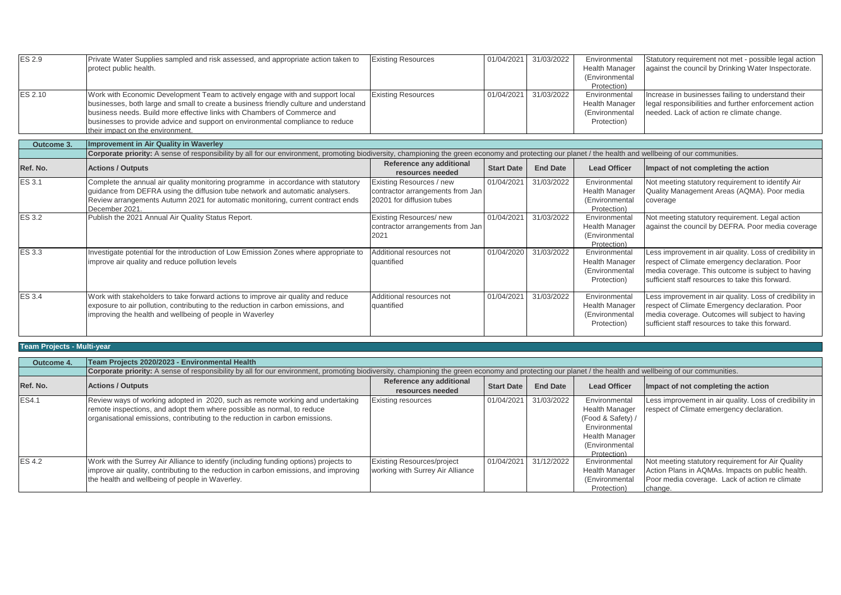| <b>ES 2.9</b> | Private Water Supplies sampled and risk assessed, and appropriate action taken to<br>protect public health.                                                                                                                                                                                                                                                              | <b>Existing Resources</b>                                                                 | 01/04/2021        | 31/03/2022      | Environmental<br><b>Health Manager</b><br>(Environmental<br>Protection) | Statutory requirement not met - possible legal action<br>against the council by Drinking Water Inspectorate.                                                                                                       |
|---------------|--------------------------------------------------------------------------------------------------------------------------------------------------------------------------------------------------------------------------------------------------------------------------------------------------------------------------------------------------------------------------|-------------------------------------------------------------------------------------------|-------------------|-----------------|-------------------------------------------------------------------------|--------------------------------------------------------------------------------------------------------------------------------------------------------------------------------------------------------------------|
| ES 2.10       | Work with Economic Development Team to actively engage with and support local<br>businesses, both large and small to create a business friendly culture and understand<br>business needs. Build more effective links with Chambers of Commerce and<br>businesses to provide advice and support on environmental compliance to reduce<br>their impact on the environment. | <b>Existing Resources</b>                                                                 | 01/04/2021        | 31/03/2022      | Environmental<br><b>Health Manager</b><br>(Environmental<br>Protection) | Increase in businesses failing to understand their<br>legal responsibilities and further enforcement action<br>needed. Lack of action re climate change.                                                           |
| Outcome 3.    | <b>Improvement in Air Quality in Waverley</b>                                                                                                                                                                                                                                                                                                                            |                                                                                           |                   |                 |                                                                         |                                                                                                                                                                                                                    |
|               | Corporate priority: A sense of responsibility by all for our environment, promoting biodiversity, championing the green economy and protecting our planet / the health and wellbeing of our communities.                                                                                                                                                                 |                                                                                           |                   |                 |                                                                         |                                                                                                                                                                                                                    |
| Ref. No.      | <b>Actions / Outputs</b>                                                                                                                                                                                                                                                                                                                                                 | Reference any additional<br>resources needed                                              | <b>Start Date</b> | <b>End Date</b> | <b>Lead Officer</b>                                                     | Impact of not completing the action                                                                                                                                                                                |
| <b>ES 3.1</b> | Complete the annual air quality monitoring programme in accordance with statutory<br>guidance from DEFRA using the diffusion tube network and automatic analysers.<br>Review arrangements Autumn 2021 for automatic monitoring, current contract ends<br>December 2021                                                                                                   | Existing Resources / new<br>contractor arrangements from Jan<br>20201 for diffusion tubes | 01/04/2021        | 31/03/2022      | Environmental<br><b>Health Manager</b><br>(Environmental<br>Protection) | Not meeting statutory requirement to identify Air<br>Quality Management Areas (AQMA). Poor media<br>coverage                                                                                                       |
| <b>ES 3.2</b> | Publish the 2021 Annual Air Quality Status Report.                                                                                                                                                                                                                                                                                                                       | Existing Resources/new<br>contractor arrangements from Jan<br>2021                        | 01/04/2021        | 31/03/2022      | Environmental<br><b>Health Manager</b><br>(Environmental<br>Protection) | Not meeting statutory requirement. Legal action<br>against the council by DEFRA. Poor media coverage                                                                                                               |
| <b>ES 3.3</b> | Investigate potential for the introduction of Low Emission Zones where appropriate to<br>improve air quality and reduce pollution levels                                                                                                                                                                                                                                 | Additional resources not<br>quantified                                                    | 01/04/2020        | 31/03/2022      | Environmental<br><b>Health Manager</b><br>(Environmental<br>Protection) | Less improvement in air quality. Loss of credibility in<br>respect of Climate emergency declaration. Poor<br>media coverage. This outcome is subject to having<br>sufficient staff resources to take this forward. |
| <b>ES 3.4</b> | Work with stakeholders to take forward actions to improve air quality and reduce<br>exposure to air pollution, contributing to the reduction in carbon emissions, and<br>improving the health and wellbeing of people in Waverley                                                                                                                                        | Additional resources not<br>quantified                                                    | 01/04/2021        | 31/03/2022      | Environmental<br><b>Health Manager</b><br>(Environmental<br>Protection) | Less improvement in air quality. Loss of credibility in<br>respect of Climate Emergency declaration. Poor<br>media coverage. Outcomes will subject to having<br>sufficient staff resources to take this forward.   |

# **Team Projects - Multi-year**

| Outcome 4.    | Team Projects 2020/2023 - Environmental Health                                                                                                                                                                                           |                                                                       |                   |                 |                                                                                                                                        |                                                                                                                                                                    |  |  |
|---------------|------------------------------------------------------------------------------------------------------------------------------------------------------------------------------------------------------------------------------------------|-----------------------------------------------------------------------|-------------------|-----------------|----------------------------------------------------------------------------------------------------------------------------------------|--------------------------------------------------------------------------------------------------------------------------------------------------------------------|--|--|
|               | Corporate priority: A sense of responsibility by all for our environment, promoting biodiversity, championing the green economy and protecting our planet / the health and wellbeing of our communities.                                 |                                                                       |                   |                 |                                                                                                                                        |                                                                                                                                                                    |  |  |
| Ref. No.      | <b>Actions / Outputs</b>                                                                                                                                                                                                                 | Reference any additional<br>resources needed                          | <b>Start Date</b> | <b>End Date</b> | <b>Lead Officer</b>                                                                                                                    | Impact of not completing the action                                                                                                                                |  |  |
| <b>ES4.1</b>  | Review ways of working adopted in 2020, such as remote working and undertaking<br>remote inspections, and adopt them where possible as normal, to reduce<br>organisational emissions, contributing to the reduction in carbon emissions. | <b>Existing resources</b>                                             | 01/04/2021        | 31/03/2022      | Environmental<br><b>Health Manager</b><br>(Food & Safety) /<br>Environmental<br><b>Health Manager</b><br>(Environmental<br>Protection) | Less improvement in air quality. Loss of credibility in<br>respect of Climate emergency declaration.                                                               |  |  |
| <b>ES 4.2</b> | Work with the Surrey Air Alliance to identify (including funding options) projects to<br>improve air quality, contributing to the reduction in carbon emissions, and improving<br>the health and wellbeing of people in Waverley.        | <b>Existing Resources/project</b><br>working with Surrey Air Alliance | 01/04/2021        | 31/12/2022      | Environmental<br><b>Health Manager</b><br>(Environmental<br>Protection)                                                                | Not meeting statutory requirement for Air Quality<br>Action Plans in AQMAs. Impacts on public health.<br>Poor media coverage. Lack of action re climate<br>change. |  |  |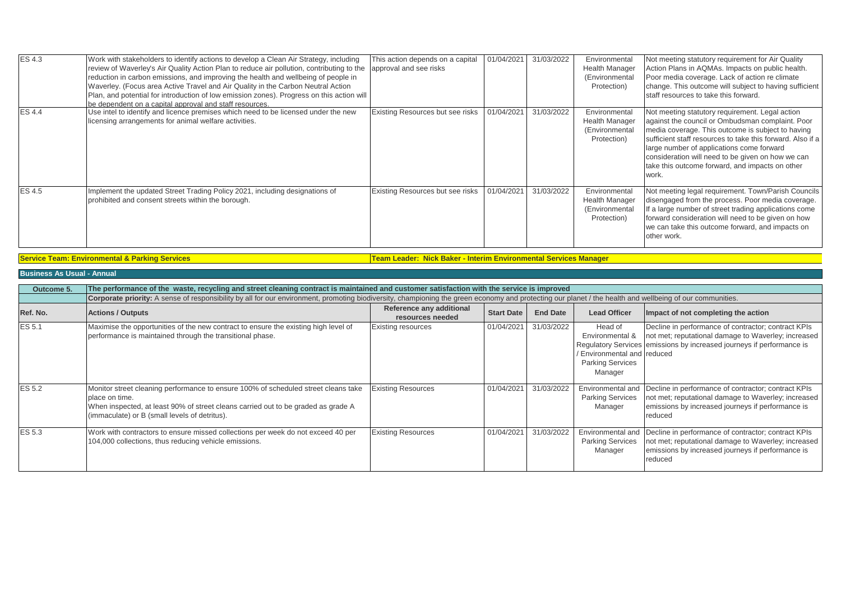| <b>ES4.3</b> | Work with stakeholders to identify actions to develop a Clean Air Strategy, including<br>review of Waverley's Air Quality Action Plan to reduce air pollution, contributing to the<br>reduction in carbon emissions, and improving the health and wellbeing of people in<br>Waverley. (Focus area Active Travel and Air Quality in the Carbon Neutral Action<br>Plan, and potential for introduction of low emission zones). Progress on this action will<br>be dependent on a capital approval and staff resources. | This action depends on a capital<br>approval and see risks | 01/04/2021 | 31/03/2022 | Environmental<br><b>Health Manager</b><br>(Environmental<br>Protection) | Not meeting statutory requirement for Air Quality<br>Action Plans in AQMAs. Impacts on public health.<br>Poor media coverage. Lack of action re climate<br>change. This outcome will subject to having sufficient<br>staff resources to take this forward.                                                                                                                           |
|--------------|----------------------------------------------------------------------------------------------------------------------------------------------------------------------------------------------------------------------------------------------------------------------------------------------------------------------------------------------------------------------------------------------------------------------------------------------------------------------------------------------------------------------|------------------------------------------------------------|------------|------------|-------------------------------------------------------------------------|--------------------------------------------------------------------------------------------------------------------------------------------------------------------------------------------------------------------------------------------------------------------------------------------------------------------------------------------------------------------------------------|
| <b>ES4.4</b> | Use intel to identify and licence premises which need to be licensed under the new<br>icensing arrangements for animal welfare activities.                                                                                                                                                                                                                                                                                                                                                                           | Existing Resources but see risks                           | 01/04/2021 | 31/03/2022 | Environmental<br><b>Health Manager</b><br>(Environmental<br>Protection) | Not meeting statutory requirement. Legal action<br>against the council or Ombudsman complaint. Poor<br>media coverage. This outcome is subject to having<br>sufficient staff resources to take this forward. Also if a<br>large number of applications come forward<br>consideration will need to be given on how we can<br>take this outcome forward, and impacts on other<br>work. |
| ES 4.5       | Implement the updated Street Trading Policy 2021, including designations of<br>prohibited and consent streets within the borough.                                                                                                                                                                                                                                                                                                                                                                                    | Existing Resources but see risks                           | 01/04/2021 | 31/03/2022 | Environmental<br><b>Health Manager</b><br>(Environmental<br>Protection) | Not meeting legal requirement. Town/Parish Councils<br>disengaged from the process. Poor media coverage.<br>If a large number of street trading applications come<br>forward consideration will need to be given on how<br>we can take this outcome forward, and impacts on<br>other work.                                                                                           |

**Service Team: Environmental & Parking Services Team Leader: Nick Baker - Interim Environmental Services Manager**

**Business As Usual - Annual**

| Outcome 5.    | The performance of the waste, recycling and street cleaning contract is maintained and customer satisfaction with the service is improved                                                                                                  |                                              |                   |                 |                                                                                               |                                                                                                                                                                                              |  |  |  |
|---------------|--------------------------------------------------------------------------------------------------------------------------------------------------------------------------------------------------------------------------------------------|----------------------------------------------|-------------------|-----------------|-----------------------------------------------------------------------------------------------|----------------------------------------------------------------------------------------------------------------------------------------------------------------------------------------------|--|--|--|
|               | Corporate priority: A sense of responsibility by all for our environment, promoting biodiversity, championing the green economy and protecting our planet / the health and wellbeing of our communities.                                   |                                              |                   |                 |                                                                                               |                                                                                                                                                                                              |  |  |  |
| Ref. No.      | <b>Actions / Outputs</b>                                                                                                                                                                                                                   | Reference any additional<br>resources needed | <b>Start Date</b> | <b>End Date</b> | <b>Lead Officer</b>                                                                           | Impact of not completing the action                                                                                                                                                          |  |  |  |
| ES 5.1        | Maximise the opportunities of the new contract to ensure the existing high level of<br>performance is maintained through the transitional phase.                                                                                           | <b>Existing resources</b>                    | 01/04/2021        | 31/03/2022      | Head of<br>Environmental &<br>Environmental and reduced<br><b>Parking Services</b><br>Manager | Decline in performance of contractor; contract KPIs<br>not met; reputational damage to Waverley; increased<br>Regulatory Services emissions by increased journeys if performance is          |  |  |  |
| <b>ES 5.2</b> | Monitor street cleaning performance to ensure 100% of scheduled street cleans take<br>place on time.<br>When inspected, at least 90% of street cleans carried out to be graded as grade A<br>(immaculate) or B (small levels of detritus). | <b>Existing Resources</b>                    | 01/04/2021        | 31/03/2022      | <b>Parking Services</b><br>Manager                                                            | Environmental and Decline in performance of contractor; contract KPIs<br>not met; reputational damage to Waverley; increased<br>emissions by increased journeys if performance is<br>reduced |  |  |  |
| <b>ES 5.3</b> | Work with contractors to ensure missed collections per week do not exceed 40 per<br>104,000 collections, thus reducing vehicle emissions.                                                                                                  | <b>Existing Resources</b>                    | 01/04/2021        | 31/03/2022      | <b>Parking Services</b><br>Manager                                                            | Environmental and Decline in performance of contractor; contract KPIs<br>not met; reputational damage to Waverley; increased<br>emissions by increased journeys if performance is<br>reduced |  |  |  |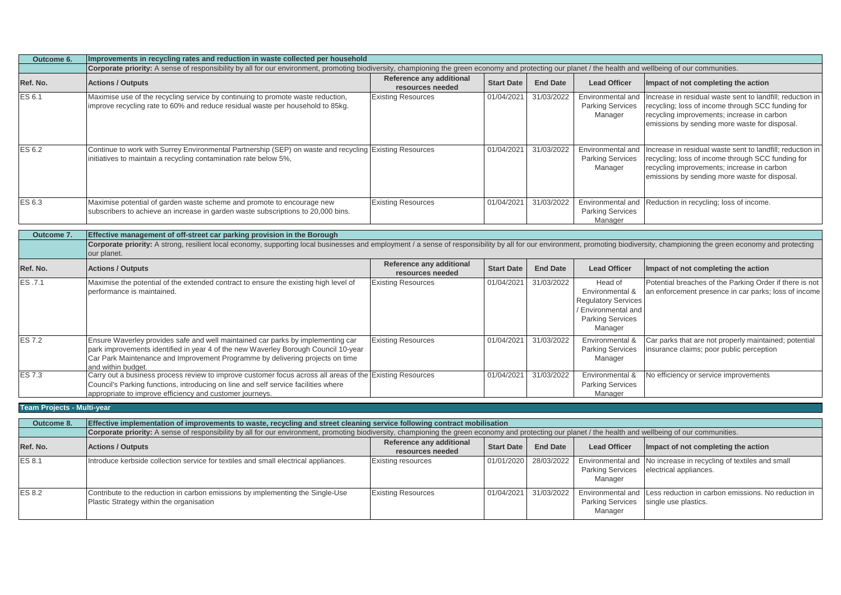| Outcome 6. | Improvements in recycling rates and reduction in waste collected per household                                                                                                                           |                                              |                   |                 |                                                         |                                                                                                                                                                                                               |  |  |
|------------|----------------------------------------------------------------------------------------------------------------------------------------------------------------------------------------------------------|----------------------------------------------|-------------------|-----------------|---------------------------------------------------------|---------------------------------------------------------------------------------------------------------------------------------------------------------------------------------------------------------------|--|--|
|            | Corporate priority: A sense of responsibility by all for our environment, promoting biodiversity, championing the green economy and protecting our planet / the health and wellbeing of our communities. |                                              |                   |                 |                                                         |                                                                                                                                                                                                               |  |  |
| Ref. No.   | <b>Actions / Outputs</b>                                                                                                                                                                                 | Reference any additional<br>resources needed | <b>Start Date</b> | <b>End Date</b> | <b>Lead Officer</b>                                     | Impact of not completing the action                                                                                                                                                                           |  |  |
| ES 6.1     | Maximise use of the recycling service by continuing to promote waste reduction,<br>improve recycling rate to 60% and reduce residual waste per household to 85kg.                                        | <b>Existing Resources</b>                    | 01/04/2021        | 31/03/2022      | Environmental and<br><b>Parking Services</b><br>Manager | Increase in residual waste sent to landfill; reduction in<br>recycling; loss of income through SCC funding for<br>recycling improvements; increase in carbon<br>emissions by sending more waste for disposal. |  |  |
| ES 6.2     | Continue to work with Surrey Environmental Partnership (SEP) on waste and recycling Existing Resources<br>initiatives to maintain a recycling contamination rate below 5%,                               |                                              | 01/04/2021        | 31/03/2022      | Environmental and<br><b>Parking Services</b><br>Manager | Increase in residual waste sent to landfill; reduction in<br>recycling; loss of income through SCC funding for<br>recycling improvements; increase in carbon<br>emissions by sending more waste for disposal. |  |  |
| ES 6.3     | Maximise potential of garden waste scheme and promote to encourage new<br>subscribers to achieve an increase in garden waste subscriptions to 20,000 bins.                                               | <b>Existing Resources</b>                    | 01/04/2021        | 31/03/2022      | Environmental and<br><b>Parking Services</b><br>Manager | Reduction in recycling; loss of income.                                                                                                                                                                       |  |  |

**Outcome 7. Ref. No. Actions / Outputs Ref. No. Actions / Outputs Reference any additional <b>Reference any additional Reference any additional resources 19 Start Date Lead Officer Impact of not completing the action**<br>01/04/2021 31/03/2022 Head of Potential breaches of the Parking Orde ES .7.1 Maximise the potential of the extended contract to ensure the existing high level of performance is maintained. Existing Resources 01/04/2021 31/03/2022 Head of Environmental & Regulatory Services / Environmental and Parking Services Manager Potential breaches of the Parking Order if there is not an enforcement presence in car parks; loss of income ES 7.2 Ensure Waverley provides safe and well maintained car parks by implementing car park improvements identified in year 4 of the new Waverley Borough Council 10-year Car Park Maintenance and Improvement Programme by delivering projects on time and within budget. Existing Resources 01/04/2021 31/03/2022 Environmental & Parking Services Manager Car parks that are not properly maintained; potential insurance claims; poor public perception ES 7.3 Carry out a business process review to improve customer focus across all areas of the Existing Resources Council's Parking functions, introducing on line and self service facilities where appropriate to improve efficiency and customer journeys. 01/04/2021 31/03/2022 Environmental & Parking Services Manager No efficiency or service improvements **Effective management of off-street car parking provision in the Borough** Corporate priority: A strong, resilient local economy, supporting local businesses and employment / a sense of responsibility by all for our environment, promoting biodiversity, championing the green economy and protecting our planet.

**Team Projects - Multi-year**

| Outcome 8.    | Effective implementation of improvements to waste, recycling and street cleaning service following contract mobilisation                                                                                 |                           |  |                       |                                    |                                                                                               |  |  |
|---------------|----------------------------------------------------------------------------------------------------------------------------------------------------------------------------------------------------------|---------------------------|--|-----------------------|------------------------------------|-----------------------------------------------------------------------------------------------|--|--|
|               | Corporate priority: A sense of responsibility by all for our environment, promoting biodiversity, championing the green economy and protecting our planet / the health and wellbeing of our communities. |                           |  |                       |                                    |                                                                                               |  |  |
| Ref. No.      | Reference any additional<br><b>Lead Officer</b><br>Impact of not completing the action<br><b>Actions / Outputs</b><br><b>End Date</b><br><b>Start Date</b><br>resources needed                           |                           |  |                       |                                    |                                                                                               |  |  |
| <b>ES 8.1</b> | Introduce kerbside collection service for textiles and small electrical appliances.                                                                                                                      | <b>Existing resources</b> |  | 01/01/2020 28/03/2022 | <b>Parking Services</b><br>Manager | Environmental and No increase in recycling of textiles and small<br>electrical appliances.    |  |  |
| <b>ES 8.2</b> | Contribute to the reduction in carbon emissions by implementing the Single-Use<br>Plastic Strategy within the organisation                                                                               | <b>Existing Resources</b> |  | 01/04/2021 31/03/2022 | <b>Parking Services</b><br>Manager | Environmental and Less reduction in carbon emissions. No reduction in<br>single use plastics. |  |  |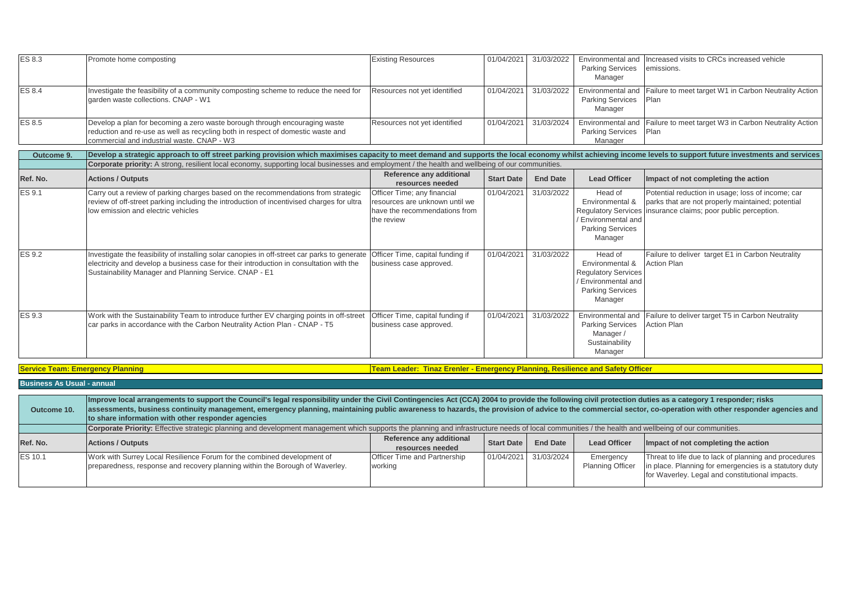| ES 8.3                                  | Promote home composting                                                                                                                                                                                                                           | <b>Existing Resources</b>                                                                                       | 01/04/2021        | 31/03/2022      | <b>Parking Services</b><br>Manager                                                                                    | Environmental and Increased visits to CRCs increased vehicle<br>emissions.                                                                          |
|-----------------------------------------|---------------------------------------------------------------------------------------------------------------------------------------------------------------------------------------------------------------------------------------------------|-----------------------------------------------------------------------------------------------------------------|-------------------|-----------------|-----------------------------------------------------------------------------------------------------------------------|-----------------------------------------------------------------------------------------------------------------------------------------------------|
| <b>ES 8.4</b>                           | Investigate the feasibility of a community composting scheme to reduce the need for<br>garden waste collections. CNAP - W1                                                                                                                        | Resources not yet identified                                                                                    | 01/04/2021        | 31/03/2022      | Environmental and<br><b>Parking Services</b><br>Manager                                                               | Failure to meet target W1 in Carbon Neutrality Action<br>Plan                                                                                       |
| <b>ES 8.5</b>                           | Develop a plan for becoming a zero waste borough through encouraging waste<br>reduction and re-use as well as recycling both in respect of domestic waste and<br>commercial and industrial waste. CNAP - W3                                       | Resources not yet identified                                                                                    | 01/04/2021        | 31/03/2024      | Environmental and<br><b>Parking Services</b><br>Manager                                                               | Failure to meet target W3 in Carbon Neutrality Action<br>Plan                                                                                       |
| Outcome 9.                              | Develop a strategic approach to off street parking provision which maximises capacity to meet demand and supports the local economy whilst achieving income levels to support future investments and services                                     |                                                                                                                 |                   |                 |                                                                                                                       |                                                                                                                                                     |
|                                         | Corporate priority: A strong, resilient local economy, supporting local businesses and employment / the health and wellbeing of our communities.                                                                                                  |                                                                                                                 |                   |                 |                                                                                                                       |                                                                                                                                                     |
| Ref. No.                                | <b>Actions / Outputs</b>                                                                                                                                                                                                                          | Reference any additional<br>resources needed                                                                    | <b>Start Date</b> | <b>End Date</b> | <b>Lead Officer</b>                                                                                                   | Impact of not completing the action                                                                                                                 |
| <b>ES 9.1</b>                           | Carry out a review of parking charges based on the recommendations from strategic<br>review of off-street parking including the introduction of incentivised charges for ultra<br>low emission and electric vehicles                              | Officer Time; any financial<br>resources are unknown until we<br>have the recommendations from<br>the review    | 01/04/2021        | 31/03/2022      | Head of<br>Environmental &<br><b>Regulatory Services</b><br>/ Environmental and<br><b>Parking Services</b><br>Manager | Potential reduction in usage; loss of income; car<br>parks that are not properly maintained; potential<br>insurance claims; poor public perception. |
| <b>ES 9.2</b>                           | Investigate the feasibility of installing solar canopies in off-street car parks to generate<br>electricity and develop a business case for their introduction in consultation with the<br>Sustainability Manager and Planning Service. CNAP - E1 | Officer Time, capital funding if<br>business case approved.                                                     | 01/04/2021        | 31/03/2022      | Head of<br>Environmental &<br><b>Regulatory Services</b><br>/ Environmental and<br><b>Parking Services</b><br>Manager | Failure to deliver target E1 in Carbon Neutrality<br><b>Action Plan</b>                                                                             |
| <b>ES 9.3</b>                           | Work with the Sustainability Team to introduce further EV charging points in off-street<br>car parks in accordance with the Carbon Neutrality Action Plan - CNAP - T5                                                                             | Officer Time, capital funding if<br>business case approved.                                                     | 01/04/2021        | 31/03/2022      | <b>Parking Services</b><br>Manager/<br>Sustainability<br>Manager                                                      | Environmental and Failure to deliver target T5 in Carbon Neutrality<br><b>Action Plan</b>                                                           |
| <b>Service Team: Emergency Planning</b> |                                                                                                                                                                                                                                                   | Team Leader: Tinaz Erenler - Emergency Planning, Resilience and Safety Officer                                  |                   |                 |                                                                                                                       |                                                                                                                                                     |
| <b>Business As Usual - annual</b>       |                                                                                                                                                                                                                                                   |                                                                                                                 |                   |                 |                                                                                                                       |                                                                                                                                                     |
|                                         | ويمرا والمتحال والمتحدث ومدارا                                                                                                                                                                                                                    | the this conclude the Obilit Opening projects and (OOA) 0004.4 percentals the following projects and projection |                   |                 |                                                                                                                       |                                                                                                                                                     |

| Outcome 10.    | Improve local arrangements to support the Council's legal responsibility under the Civil Contingencies Act (CCA) 2004 to provide the following civil protection duties as a category 1 responder; risks<br>assessments, business continuity management, emergency planning, maintaining public awareness to hazards, the provision of advice to the commercial sector, co-operation with other responder agencies and<br>to share information with other responder agencies |                                                |                   |                       |                                      |                                                                                                                                                                    |  |
|----------------|-----------------------------------------------------------------------------------------------------------------------------------------------------------------------------------------------------------------------------------------------------------------------------------------------------------------------------------------------------------------------------------------------------------------------------------------------------------------------------|------------------------------------------------|-------------------|-----------------------|--------------------------------------|--------------------------------------------------------------------------------------------------------------------------------------------------------------------|--|
|                | Corporate Priority: Effective strategic planning and development management which supports the planning and infrastructure needs of local communities / the health and wellbeing of our communities.                                                                                                                                                                                                                                                                        |                                                |                   |                       |                                      |                                                                                                                                                                    |  |
| Ref. No.       | <b>Actions / Outputs</b>                                                                                                                                                                                                                                                                                                                                                                                                                                                    | Reference any additional<br>resources needed   | <b>Start Date</b> | <b>End Date</b>       | <b>Lead Officer</b>                  | Impact of not completing the action                                                                                                                                |  |
| <b>ES 10.1</b> | Work with Surrey Local Resilience Forum for the combined development of<br>preparedness, response and recovery planning within the Borough of Waverley.                                                                                                                                                                                                                                                                                                                     | <b>Officer Time and Partnership</b><br>working |                   | 01/04/2021 31/03/2024 | Emergency<br><b>Planning Officer</b> | Threat to life due to lack of planning and procedures<br>in place. Planning for emergencies is a statutory duty<br>for Waverley. Legal and constitutional impacts. |  |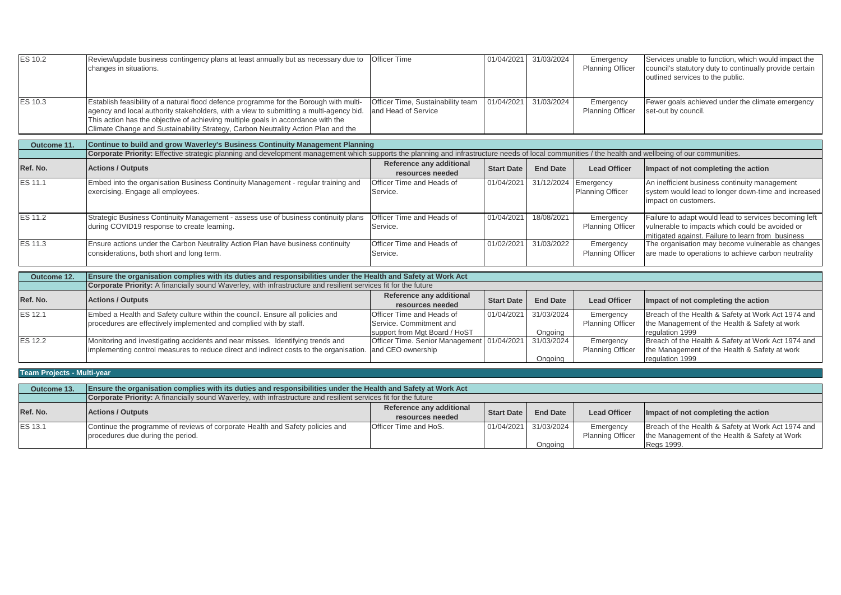| <b>ES 10.2</b> | Review/update business contingency plans at least annually but as necessary due to Officer Time<br>changes in situations.                                                                                                                                                                                                                                 |                                                          |  | 01/04/2021 31/03/2024 | Emergency<br><b>Planning Officer</b> | Services unable to function, which would impact the<br>council's statutory duty to continually provide certain<br>outlined services to the public. |  |
|----------------|-----------------------------------------------------------------------------------------------------------------------------------------------------------------------------------------------------------------------------------------------------------------------------------------------------------------------------------------------------------|----------------------------------------------------------|--|-----------------------|--------------------------------------|----------------------------------------------------------------------------------------------------------------------------------------------------|--|
| ES 10.3        | Establish feasibility of a natural flood defence programme for the Borough with multi-<br>agency and local authority stakeholders, with a view to submitting a multi-agency bid.<br>This action has the objective of achieving multiple goals in accordance with the<br>Climate Change and Sustainability Strategy, Carbon Neutrality Action Plan and the | Officer Time, Sustainability team<br>and Head of Service |  | 01/04/2021 31/03/2024 | Emergency<br>Planning Officer        | Fewer goals achieved under the climate emergency<br>set-out by council.                                                                            |  |
|                |                                                                                                                                                                                                                                                                                                                                                           |                                                          |  |                       |                                      |                                                                                                                                                    |  |
| Outcome 11.    | Continue to build and grow Waverley's Business Continuity Management Planning                                                                                                                                                                                                                                                                             |                                                          |  |                       |                                      |                                                                                                                                                    |  |
|                |                                                                                                                                                                                                                                                                                                                                                           |                                                          |  |                       |                                      |                                                                                                                                                    |  |

|                | Corporate Priority: Effective strategic planning and development management which supports the planning and infrastructure needs of local communities / the health and wellbeing of our communities. |                                              |                   |                 |                                                 |                                                                                                                                                               |  |  |  |
|----------------|------------------------------------------------------------------------------------------------------------------------------------------------------------------------------------------------------|----------------------------------------------|-------------------|-----------------|-------------------------------------------------|---------------------------------------------------------------------------------------------------------------------------------------------------------------|--|--|--|
| Ref. No.       | <b>Actions / Outputs</b>                                                                                                                                                                             | Reference any additional<br>resources needed | <b>Start Date</b> | <b>End Date</b> | <b>Lead Officer</b>                             | Impact of not completing the action                                                                                                                           |  |  |  |
| ES 11.1        | Embed into the organisation Business Continuity Management - regular training and<br>exercising. Engage all employees.                                                                               | Officer Time and Heads of<br>Service.        | 01/04/2021        |                 | 31/12/2024 Emergency<br><b>Planning Officer</b> | An inefficient business continuity management<br>system would lead to longer down-time and increased<br>impact on customers.                                  |  |  |  |
| ES 11.2        | Strategic Business Continuity Management - assess use of business continuity plans<br>during COVID19 response to create learning.                                                                    | Officer Time and Heads of<br>Service.        | 01/04/2021        | 18/08/2021      | Emergency<br><b>Planning Officer</b>            | Failure to adapt would lead to services becoming left<br>vulnerable to impacts which could be avoided or<br>mitigated against. Failure to learn from business |  |  |  |
| <b>ES 11.3</b> | Ensure actions under the Carbon Neutrality Action Plan have business continuity<br>considerations, both short and long term.                                                                         | Officer Time and Heads of<br>Service.        | 01/02/2021        | 31/03/2022      | Emergency<br><b>Planning Officer</b>            | The organisation may become vulnerable as changes<br>are made to operations to achieve carbon neutrality                                                      |  |  |  |

| Outcome 12.    | Ensure the organisation complies with its duties and responsibilities under the Health and Safety at Work Act   |                                            |                   |                 |                         |                                                    |  |  |  |
|----------------|-----------------------------------------------------------------------------------------------------------------|--------------------------------------------|-------------------|-----------------|-------------------------|----------------------------------------------------|--|--|--|
|                | Corporate Priority: A financially sound Waverley, with infrastructure and resilient services fit for the future |                                            |                   |                 |                         |                                                    |  |  |  |
| Ref. No.       | <b>Actions / Outputs</b>                                                                                        | Reference any additional                   |                   | <b>End Date</b> |                         |                                                    |  |  |  |
|                |                                                                                                                 | resources needed                           | <b>Start Date</b> |                 | <b>Lead Officer</b>     | Impact of not completing the action                |  |  |  |
| <b>ES 12.1</b> | Embed a Health and Safety culture within the council. Ensure all policies and                                   | <b>Officer Time and Heads of</b>           | 01/04/2021        | 31/03/2024      | Emergency               | Breach of the Health & Safety at Work Act 1974 and |  |  |  |
|                | procedures are effectively implemented and complied with by staff.                                              | Service, Commitment and                    |                   |                 | <b>Planning Officer</b> | the Management of the Health & Safety at work      |  |  |  |
|                |                                                                                                                 | support from Mgt Board / HoST              |                   | Onaoina         |                         | regulation 1999                                    |  |  |  |
| <b>ES 12.2</b> | Monitoring and investigating accidents and near misses. Identifying trends and                                  | Officer Time. Senior Management 01/04/2021 |                   | 31/03/2024      | Emergency               | Breach of the Health & Safety at Work Act 1974 and |  |  |  |
|                | implementing control measures to reduce direct and indirect costs to the organisation. and CEO ownership        |                                            |                   |                 | <b>Planning Officer</b> | the Management of the Health & Safety at work      |  |  |  |
|                |                                                                                                                 |                                            |                   | Onaoina         |                         | regulation 1999                                    |  |  |  |

| <b>Team Projects - Multi-year</b> |  |
|-----------------------------------|--|
|                                   |  |

| Outcome 13.    | Ensure the organisation complies with its duties and responsibilities under the Health and Safety at Work Act   |                          |                       |                 |                         |                                                    |  |  |
|----------------|-----------------------------------------------------------------------------------------------------------------|--------------------------|-----------------------|-----------------|-------------------------|----------------------------------------------------|--|--|
|                | Corporate Priority: A financially sound Waverley, with infrastructure and resilient services fit for the future |                          |                       |                 |                         |                                                    |  |  |
| Ref. No.       | <b>Actions / Outputs</b>                                                                                        | Reference any additional | <b>Start Date</b>     |                 | <b>Lead Officer</b>     |                                                    |  |  |
|                |                                                                                                                 | resources needed         |                       | <b>End Date</b> |                         | Impact of not completing the action                |  |  |
| <b>ES 13.1</b> | Continue the programme of reviews of corporate Health and Safety policies and                                   | Officer Time and HoS.    | 01/04/2021 31/03/2024 |                 | Emergency               | Breach of the Health & Safety at Work Act 1974 and |  |  |
|                | procedures due during the period.                                                                               |                          |                       |                 | <b>Planning Officer</b> | the Management of the Health & Safety at Work      |  |  |
|                |                                                                                                                 |                          |                       | Ongoing         |                         | Regs 1999.                                         |  |  |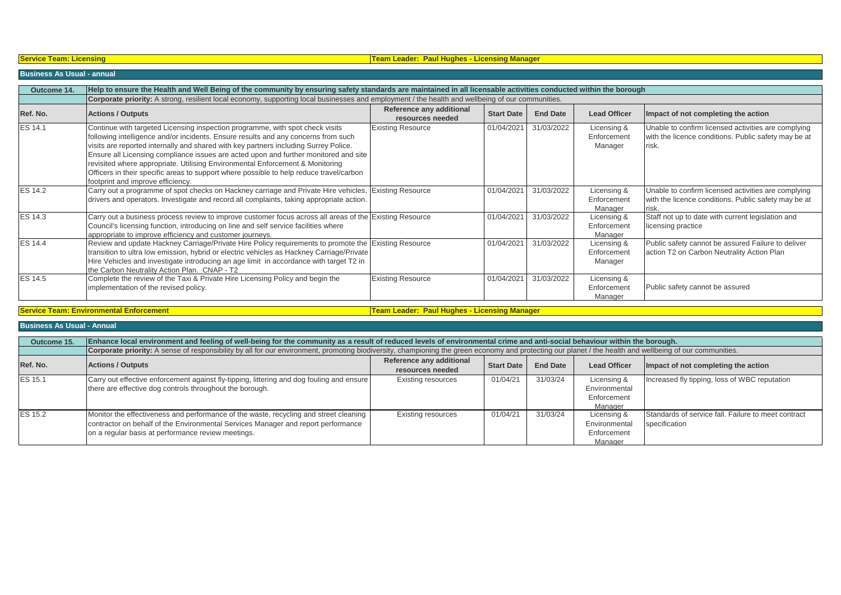# **Team Leader: Paul Hughes - Licensing Manager**

# **Business As Usual - annual**

| Outcome 14.    | Help to ensure the Health and Well Being of the community by ensuring safety standards are maintained in all licensable activities conducted within the borough                                                                                                                                                                                                                                                                                                                                                                                                      |                                              |                   |                 |                                       |                                                                                                                      |  |  |  |
|----------------|----------------------------------------------------------------------------------------------------------------------------------------------------------------------------------------------------------------------------------------------------------------------------------------------------------------------------------------------------------------------------------------------------------------------------------------------------------------------------------------------------------------------------------------------------------------------|----------------------------------------------|-------------------|-----------------|---------------------------------------|----------------------------------------------------------------------------------------------------------------------|--|--|--|
|                | Corporate priority: A strong, resilient local economy, supporting local businesses and employment / the health and wellbeing of our communities.                                                                                                                                                                                                                                                                                                                                                                                                                     |                                              |                   |                 |                                       |                                                                                                                      |  |  |  |
| Ref. No.       | <b>Actions / Outputs</b>                                                                                                                                                                                                                                                                                                                                                                                                                                                                                                                                             | Reference any additional<br>resources needed | <b>Start Date</b> | <b>End Date</b> | <b>Lead Officer</b>                   | Impact of not completing the action                                                                                  |  |  |  |
| ES 14.1        | Continue with targeted Licensing inspection programme, with spot check visits<br>following intelligence and/or incidents. Ensure results and any concerns from such<br>visits are reported internally and shared with key partners including Surrey Police.<br>Ensure all Licensing compliance issues are acted upon and further monitored and site<br>revisited where appropriate. Utilising Environmental Enforcement & Monitoring<br>Officers in their specific areas to support where possible to help reduce travel/carbon<br>footprint and improve efficiency. | <b>Existing Resource</b>                     | 01/04/2021        | 31/03/2022      | Licensing &<br>Enforcement<br>Manager | Unable to confirm licensed activities are complying<br>with the licence conditions. Public safety may be at<br>risk. |  |  |  |
| <b>ES 14.2</b> | Carry out a programme of spot checks on Hackney carriage and Private Hire vehicles, Existing Resource<br>drivers and operators. Investigate and record all complaints, taking appropriate action.                                                                                                                                                                                                                                                                                                                                                                    |                                              | 01/04/2021        | 31/03/2022      | Licensing &<br>Enforcement<br>Manager | Unable to confirm licensed activities are complying<br>with the licence conditions. Public safety may be at          |  |  |  |
| ES 14.3        | Carry out a business process review to improve customer focus across all areas of the Existing Resource<br>Council's licensing function, introducing on line and self service facilities where<br>appropriate to improve efficiency and customer journeys.                                                                                                                                                                                                                                                                                                           |                                              | 01/04/2021        | 31/03/2022      | Licensing &<br>Enforcement<br>Manager | Staff not up to date with current legislation and<br>licensing practice                                              |  |  |  |
| <b>ES 14.4</b> | Review and update Hackney Carriage/Private Hire Policy requirements to promote the Existing Resource<br>transition to ultra low emission, hybrid or electric vehicles as Hackney Carriage/Private<br>Hire Vehicles and investigate introducing an age limit in accordance with target T2 in<br>the Carbon Neutrality Action Plan. CNAP - T2                                                                                                                                                                                                                          |                                              | 01/04/2021        | 31/03/2022      | Licensing &<br>Enforcement<br>Manager | Public safety cannot be assured Failure to deliver<br>action T2 on Carbon Neutrality Action Plan                     |  |  |  |
| <b>ES 14.5</b> | Complete the review of the Taxi & Private Hire Licensing Policy and begin the<br>implementation of the revised policy.                                                                                                                                                                                                                                                                                                                                                                                                                                               | <b>Existing Resource</b>                     | 01/04/2021        | 31/03/2022      | Licensing &<br>Enforcement<br>Manager | Public safety cannot be assured                                                                                      |  |  |  |

**Service Team: Environmental Enforcement Team: Environmental Enforcement Team Leader: Paul Hughes - Licensing Manager** 

**Business As Usual - Annual**

| Outcome 15.    | Enhance local environment and feeling of well-being for the community as a result of reduced levels of environmental crime and anti-social behaviour within the borough.                                                         |                                              |                   |                 |                                                        |                                                                      |  |  |  |  |
|----------------|----------------------------------------------------------------------------------------------------------------------------------------------------------------------------------------------------------------------------------|----------------------------------------------|-------------------|-----------------|--------------------------------------------------------|----------------------------------------------------------------------|--|--|--|--|
|                | Corporate priority: A sense of responsibility by all for our environment, promoting biodiversity, championing the green economy and protecting our planet / the health and wellbeing of our communities.                         |                                              |                   |                 |                                                        |                                                                      |  |  |  |  |
| Ref. No.       | <b>Actions / Outputs</b>                                                                                                                                                                                                         | Reference any additional<br>resources needed | <b>Start Date</b> | <b>End Date</b> | <b>Lead Officer</b>                                    | Impact of not completing the action                                  |  |  |  |  |
| <b>ES 15.1</b> | Carry out effective enforcement against fly-tipping, littering and dog fouling and ensure<br>there are effective dog controls throughout the borough.                                                                            | <b>Existing resources</b>                    | 01/04/21          | 31/03/24        | Licensing &<br>Environmental<br>Enforcement<br>Manager | Increased fly tipping, loss of WBC reputation                        |  |  |  |  |
| <b>ES 15.2</b> | Monitor the effectiveness and performance of the waste, recycling and street cleaning<br>contractor on behalf of the Environmental Services Manager and report performance<br>on a regular basis at performance review meetings. | <b>Existing resources</b>                    | 01/04/21          | 31/03/24        | Licensing &<br>Environmental<br>Enforcement<br>Manager | Standards of service fall. Failure to meet contract<br>specification |  |  |  |  |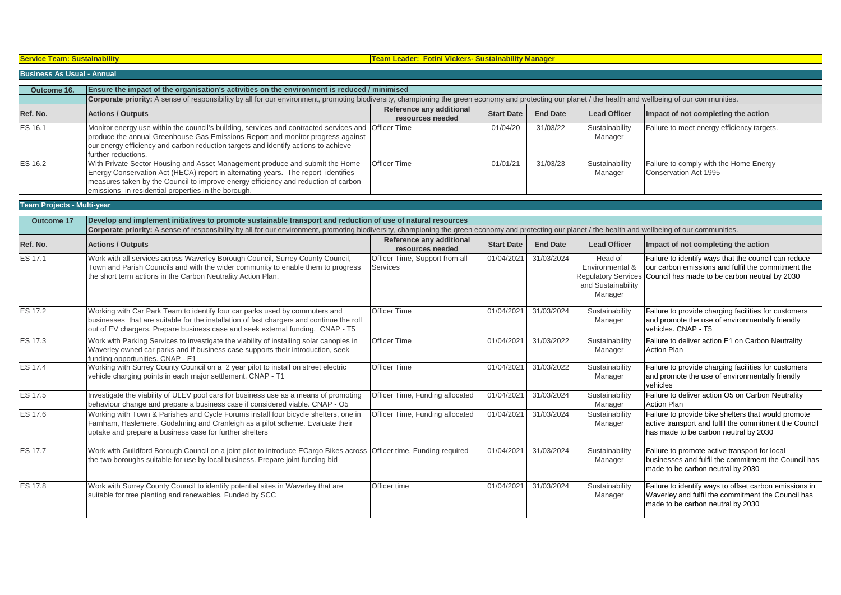| Toam: Quetainahility |  |
|----------------------|--|
|                      |  |
|                      |  |

# **Service Team: Sustainability Team Leader: Fotini Vickers- Sustainability Manager**

# **Business As Usual - Annual**

| Outcome 16.    | Ensure the impact of the organisation's activities on the environment is reduced / minimised                                                                                                                                                                                                                   |                                              |                   |                 |                           |                                                                 |  |  |
|----------------|----------------------------------------------------------------------------------------------------------------------------------------------------------------------------------------------------------------------------------------------------------------------------------------------------------------|----------------------------------------------|-------------------|-----------------|---------------------------|-----------------------------------------------------------------|--|--|
|                | Corporate priority: A sense of responsibility by all for our environment, promoting biodiversity, championing the green economy and protecting our planet / the health and wellbeing of our communities.                                                                                                       |                                              |                   |                 |                           |                                                                 |  |  |
| Ref. No.       | <b>Actions / Outputs</b>                                                                                                                                                                                                                                                                                       | Reference any additional<br>resources needed | <b>Start Date</b> | <b>End Date</b> | <b>Lead Officer</b>       | Impact of not completing the action                             |  |  |
| <b>ES 16.1</b> | Monitor energy use within the council's building, services and contracted services and Officer Time<br>produce the annual Greenhouse Gas Emissions Report and monitor progress against<br>our energy efficiency and carbon reduction targets and identify actions to achieve<br>further reductions.            |                                              | 01/04/20          | 31/03/22        | Sustainability<br>Manager | Failure to meet energy efficiency targets.                      |  |  |
| <b>ES 16.2</b> | With Private Sector Housing and Asset Management produce and submit the Home<br>Energy Conservation Act (HECA) report in alternating years. The report identifies<br>measures taken by the Council to improve energy efficiency and reduction of carbon<br>emissions in residential properties in the borough. | <b>Officer Time</b>                          | 01/01/21          | 31/03/23        | Sustainability<br>Manager | Failure to comply with the Home Energy<br>Conservation Act 1995 |  |  |

# **Team Projects - Multi-year**

| <b>Outcome 17</b> | Develop and implement initiatives to promote sustainable transport and reduction of use of natural resources                                                                                                                                              |                                              |                   |                 |                                                             |                                                                                                                                                                                 |  |  |
|-------------------|-----------------------------------------------------------------------------------------------------------------------------------------------------------------------------------------------------------------------------------------------------------|----------------------------------------------|-------------------|-----------------|-------------------------------------------------------------|---------------------------------------------------------------------------------------------------------------------------------------------------------------------------------|--|--|
|                   | Corporate priority: A sense of responsibility by all for our environment, promoting biodiversity, championing the green economy and protecting our planet / the health and wellbeing of our communities.                                                  |                                              |                   |                 |                                                             |                                                                                                                                                                                 |  |  |
| Ref. No.          | <b>Actions / Outputs</b>                                                                                                                                                                                                                                  | Reference any additional<br>resources needed | <b>Start Date</b> | <b>End Date</b> | <b>Lead Officer</b>                                         | Impact of not completing the action                                                                                                                                             |  |  |
| <b>ES 17.1</b>    | Work with all services across Waverley Borough Council, Surrey County Council,<br>Town and Parish Councils and with the wider community to enable them to progress<br>the short term actions in the Carbon Neutrality Action Plan.                        | Officer Time, Support from all<br>Services   | 01/04/2021        | 31/03/2024      | Head of<br>Environmental &<br>and Sustainability<br>Manager | Failure to identify ways that the council can reduce<br>our carbon emissions and fulfil the commitment the<br>Regulatory Services Council has made to be carbon neutral by 2030 |  |  |
| <b>ES 17.2</b>    | Working with Car Park Team to identify four car parks used by commuters and<br>businesses that are suitable for the installation of fast chargers and continue the roll<br>out of EV chargers. Prepare business case and seek external funding. CNAP - T5 | <b>Officer Time</b>                          | 01/04/2021        | 31/03/2024      | Sustainability<br>Manager                                   | Failure to provide charging facilities for customers<br>and promote the use of environmentally friendly<br>vehicles, CNAP - T5                                                  |  |  |
| <b>ES 17.3</b>    | Work with Parking Services to investigate the viability of installing solar canopies in<br>Waverley owned car parks and if business case supports their introduction, seek<br>funding opportunities. CNAP - E1                                            | <b>Officer Time</b>                          | 01/04/2021        | 31/03/2022      | Sustainability<br>Manager                                   | Failure to deliver action E1 on Carbon Neutrality<br><b>Action Plan</b>                                                                                                         |  |  |
| <b>ES 17.4</b>    | Working with Surrey County Council on a 2 year pilot to install on street electric<br>vehicle charging points in each major settlement. CNAP - T1                                                                                                         | <b>Officer Time</b>                          | 01/04/2021        | 31/03/2022      | Sustainability<br>Manager                                   | Failure to provide charging facilities for customers<br>and promote the use of environmentally friendly<br>vehicles                                                             |  |  |
| <b>ES 17.5</b>    | Investigate the viability of ULEV pool cars for business use as a means of promoting<br>behaviour change and prepare a business case if considered viable. CNAP - O5                                                                                      | Officer Time, Funding allocated              | 01/04/2021        | 31/03/2024      | Sustainability<br>Manager                                   | Failure to deliver action O5 on Carbon Neutrality<br><b>Action Plan</b>                                                                                                         |  |  |
| <b>ES 17.6</b>    | Working with Town & Parishes and Cycle Forums install four bicycle shelters, one in<br>Farnham, Haslemere, Godalming and Cranleigh as a pilot scheme. Evaluate their<br>uptake and prepare a business case for further shelters                           | Officer Time, Funding allocated              | 01/04/2021        | 31/03/2024      | Sustainability<br>Manager                                   | Failure to provide bike shelters that would promote<br>active transport and fulfil the commitment the Council<br>has made to be carbon neutral by 2030                          |  |  |
| <b>ES 17.7</b>    | Work with Guildford Borough Council on a joint pilot to introduce ECargo Bikes across<br>the two boroughs suitable for use by local business. Prepare joint funding bid                                                                                   | Officer time, Funding required               | 01/04/2021        | 31/03/2024      | Sustainability<br>Manager                                   | Failure to promote active transport for local<br>businesses and fulfil the commitment the Council has<br>made to be carbon neutral by 2030                                      |  |  |
| <b>ES 17.8</b>    | Work with Surrey County Council to identify potential sites in Waverley that are<br>suitable for tree planting and renewables. Funded by SCC                                                                                                              | Officer time                                 | 01/04/2021        | 31/03/2024      | Sustainability<br>Manager                                   | Failure to identify ways to offset carbon emissions in<br>Waverley and fulfil the commitment the Council has<br>made to be carbon neutral by 2030                               |  |  |